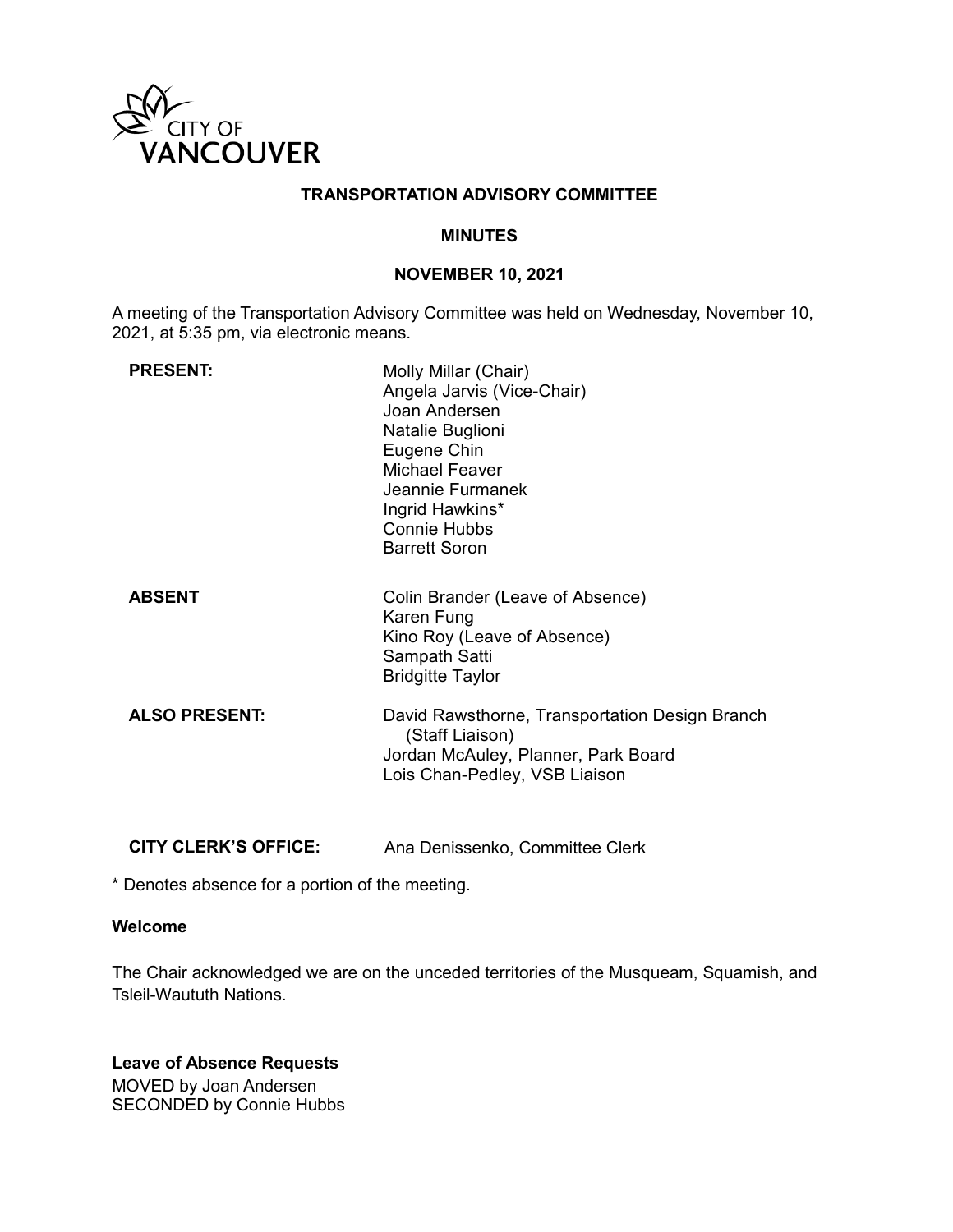

#### **TRANSPORTATION ADVISORY COMMITTEE**

#### **MINUTES**

#### **NOVEMBER 10, 2021**

A meeting of the Transportation Advisory Committee was held on Wednesday, November 10, 2021, at 5:35 pm, via electronic means.

| <b>PRESENT:</b>      | Molly Millar (Chair)<br>Angela Jarvis (Vice-Chair)<br>Joan Andersen<br>Natalie Buglioni<br>Eugene Chin<br><b>Michael Feaver</b><br>Jeannie Furmanek<br>Ingrid Hawkins*<br><b>Connie Hubbs</b><br><b>Barrett Soron</b> |
|----------------------|-----------------------------------------------------------------------------------------------------------------------------------------------------------------------------------------------------------------------|
| <b>ABSENT</b>        | Colin Brander (Leave of Absence)<br>Karen Fung<br>Kino Roy (Leave of Absence)<br>Sampath Satti<br><b>Bridgitte Taylor</b>                                                                                             |
| <b>ALSO PRESENT:</b> | David Rawsthorne, Transportation Design Branch<br>(Staff Liaison)<br>Jordan McAuley, Planner, Park Board<br>Lois Chan-Pedley, VSB Liaison                                                                             |

**CITY CLERK'S OFFICE:** Ana Denissenko, Committee Clerk

\* Denotes absence for a portion of the meeting.

## **Welcome**

The Chair acknowledged we are on the unceded territories of the Musqueam, Squamish, and Tsleil-Waututh Nations.

**Leave of Absence Requests** MOVED by Joan Andersen SECONDED by Connie Hubbs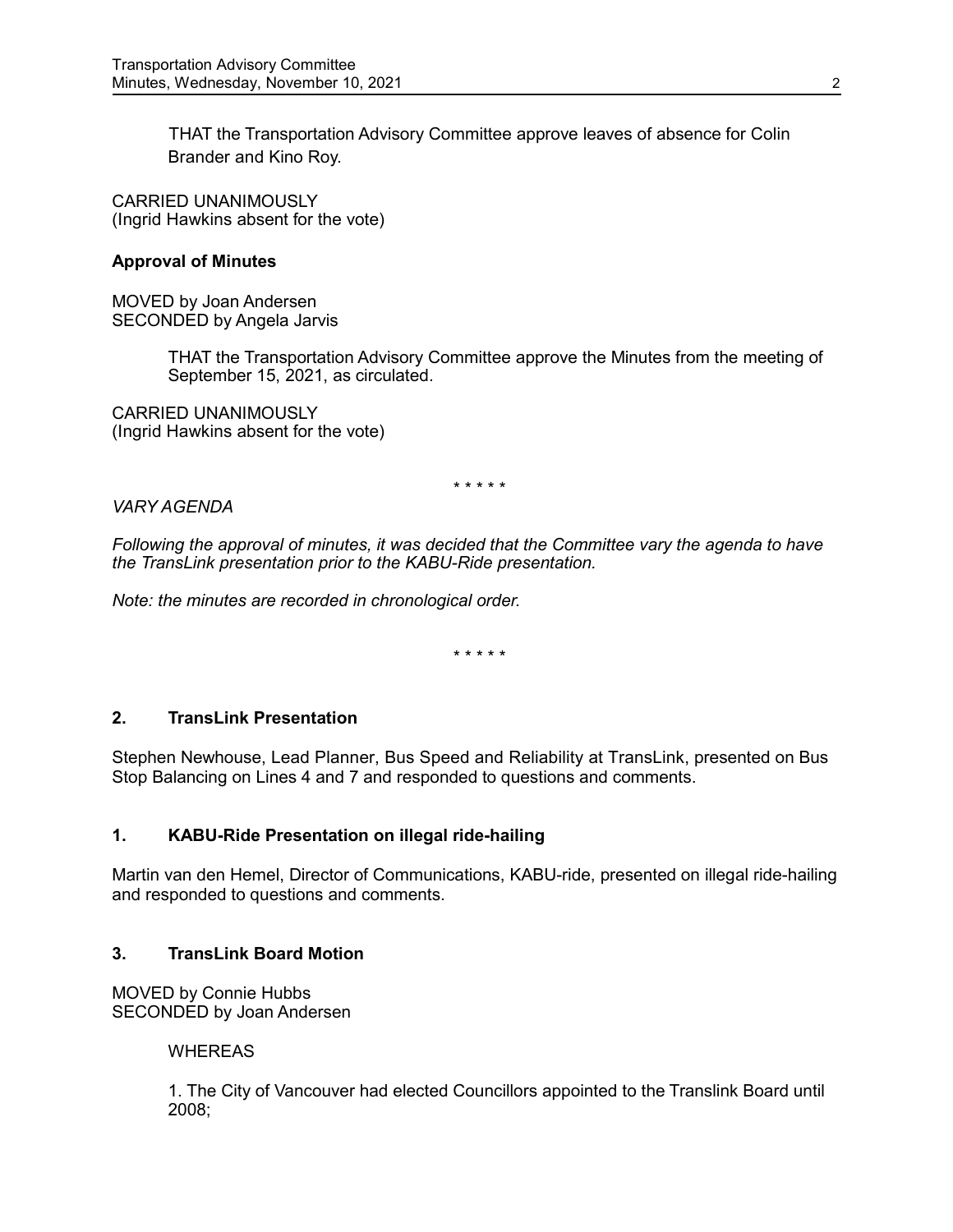THAT the Transportation Advisory Committee approve leaves of absence for Colin Brander and Kino Roy.

CARRIED UNANIMOUSLY (Ingrid Hawkins absent for the vote)

### **Approval of Minutes**

MOVED by Joan Andersen SECONDED by Angela Jarvis

> THAT the Transportation Advisory Committee approve the Minutes from the meeting of September 15, 2021, as circulated.

CARRIED UNANIMOUSLY (Ingrid Hawkins absent for the vote)

\* \* \* \* \*

### *VARY AGENDA*

*Following the approval of minutes, it was decided that the Committee vary the agenda to have the TransLink presentation prior to the KABU-Ride presentation.*

*Note: the minutes are recorded in chronological order.*

\* \* \* \* \*

### **2. TransLink Presentation**

Stephen Newhouse, Lead Planner, Bus Speed and Reliability at TransLink, presented on Bus Stop Balancing on Lines 4 and 7 and responded to questions and comments.

### **1. KABU-Ride Presentation on illegal ride-hailing**

Martin van den Hemel, Director of Communications, KABU-ride, presented on illegal ride-hailing and responded to questions and comments.

### **3. TransLink Board Motion**

MOVED by Connie Hubbs SECONDED by Joan Andersen

#### **WHEREAS**

1. The City of Vancouver had elected Councillors appointed to the Translink Board until 2008;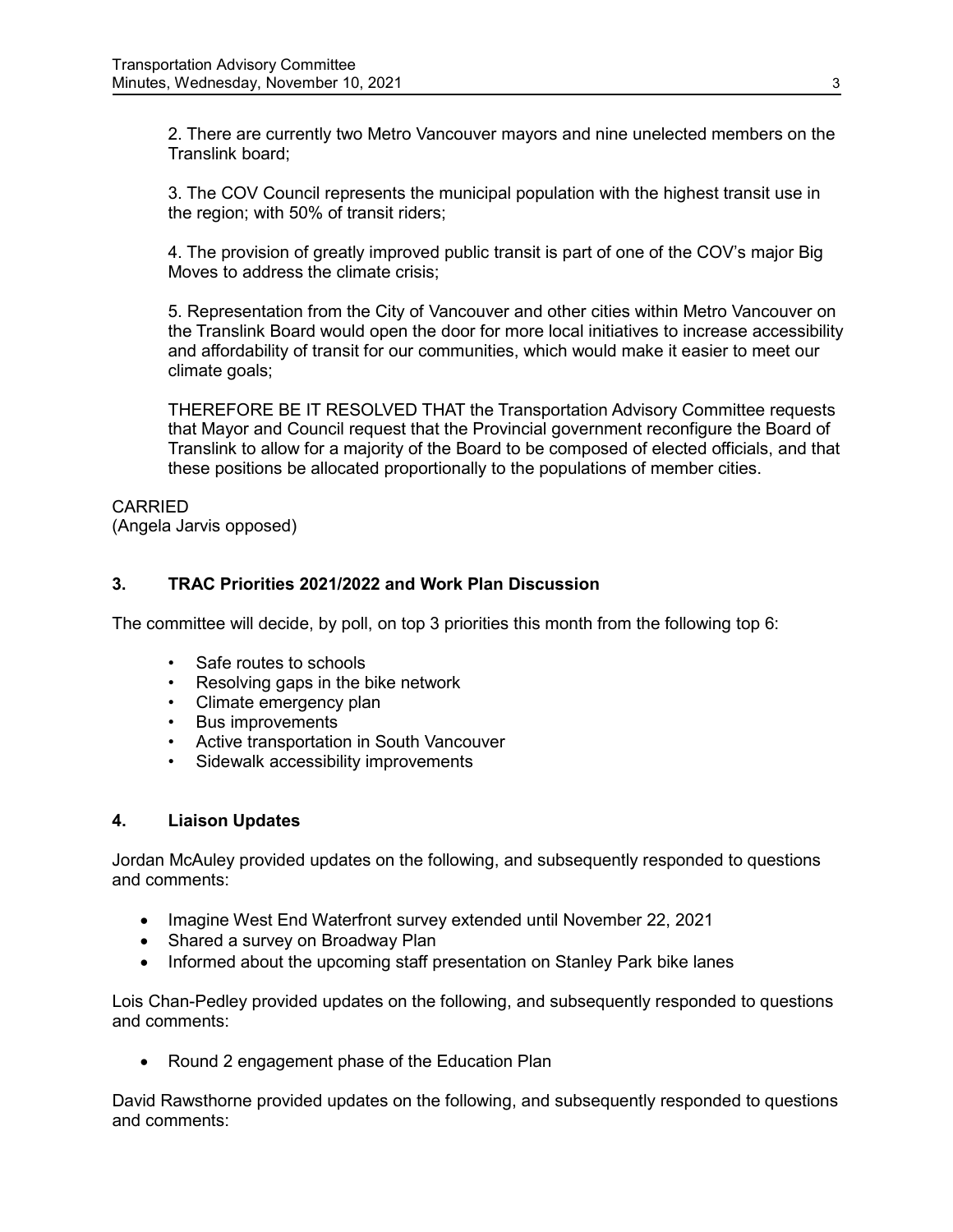2. There are currently two Metro Vancouver mayors and nine unelected members on the Translink board;

3. The COV Council represents the municipal population with the highest transit use in the region; with 50% of transit riders;

4. The provision of greatly improved public transit is part of one of the COV's major Big Moves to address the climate crisis;

5. Representation from the City of Vancouver and other cities within Metro Vancouver on the Translink Board would open the door for more local initiatives to increase accessibility and affordability of transit for our communities, which would make it easier to meet our climate goals;

THEREFORE BE IT RESOLVED THAT the Transportation Advisory Committee requests that Mayor and Council request that the Provincial government reconfigure the Board of Translink to allow for a majority of the Board to be composed of elected officials, and that these positions be allocated proportionally to the populations of member cities.

**CARRIED** (Angela Jarvis opposed)

# **3. TRAC Priorities 2021/2022 and Work Plan Discussion**

The committee will decide, by poll, on top 3 priorities this month from the following top 6:

- Safe routes to schools
- Resolving gaps in the bike network
- Climate emergency plan
- Bus improvements
- Active transportation in South Vancouver
- Sidewalk accessibility improvements

### **4. Liaison Updates**

Jordan McAuley provided updates on the following, and subsequently responded to questions and comments:

- Imagine West End Waterfront survey extended until November 22, 2021
- Shared a survey on Broadway Plan
- Informed about the upcoming staff presentation on Stanley Park bike lanes

Lois Chan-Pedley provided updates on the following, and subsequently responded to questions and comments:

• Round 2 engagement phase of the Education Plan

David Rawsthorne provided updates on the following, and subsequently responded to questions and comments: